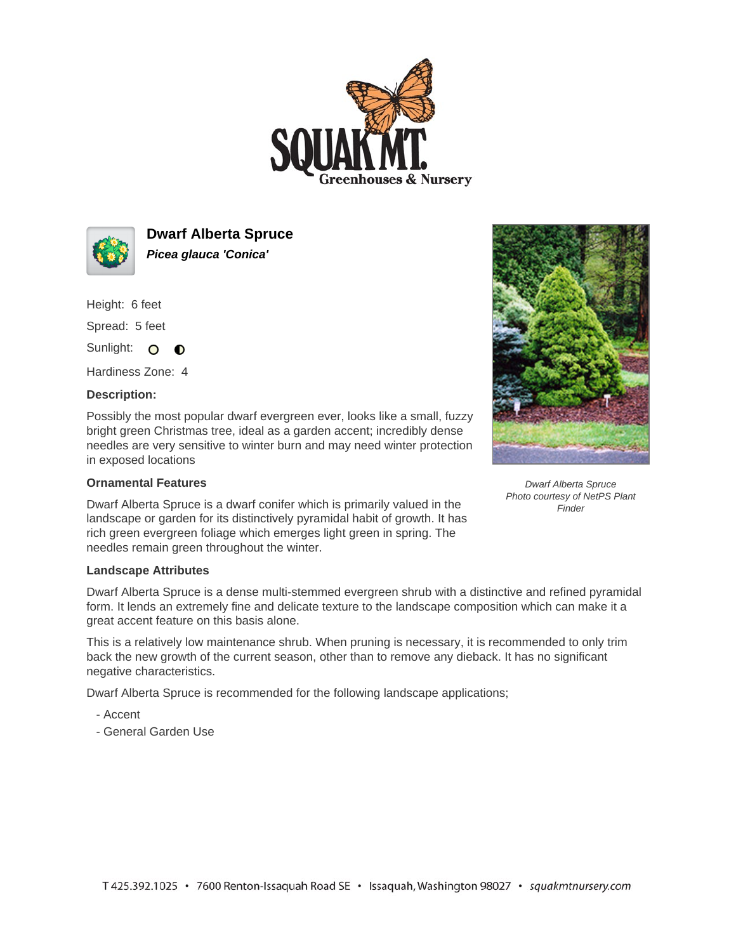



**Dwarf Alberta Spruce Picea glauca 'Conica'**

Height: 6 feet

Spread: 5 feet

Sunlight: O **O** 

Hardiness Zone: 4

## **Description:**

Possibly the most popular dwarf evergreen ever, looks like a small, fuzzy bright green Christmas tree, ideal as a garden accent; incredibly dense needles are very sensitive to winter burn and may need winter protection in exposed locations

## **Ornamental Features**

Dwarf Alberta Spruce is a dwarf conifer which is primarily valued in the landscape or garden for its distinctively pyramidal habit of growth. It has rich green evergreen foliage which emerges light green in spring. The needles remain green throughout the winter.



Dwarf Alberta Spruce is a dense multi-stemmed evergreen shrub with a distinctive and refined pyramidal form. It lends an extremely fine and delicate texture to the landscape composition which can make it a great accent feature on this basis alone.

This is a relatively low maintenance shrub. When pruning is necessary, it is recommended to only trim back the new growth of the current season, other than to remove any dieback. It has no significant negative characteristics.

Dwarf Alberta Spruce is recommended for the following landscape applications;

- Accent
- General Garden Use



Dwarf Alberta Spruce Photo courtesy of NetPS Plant **Finder**